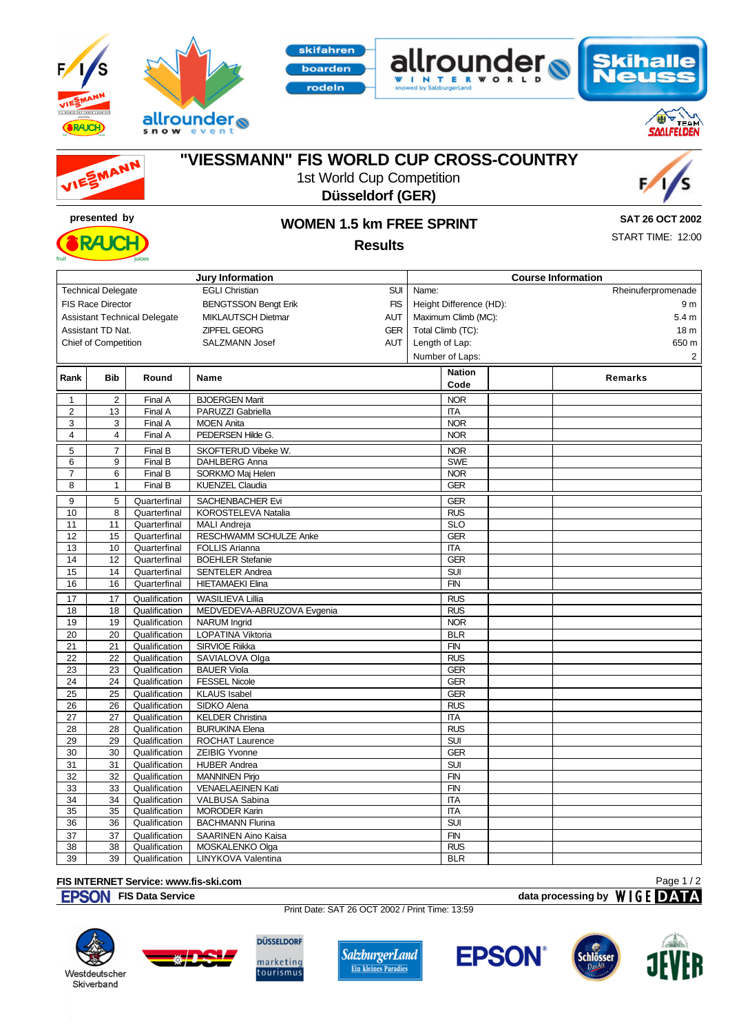









## **"VIESSMANN" FIS WORLD CUP CROSS-COUNTRY**

1st World Cup Competition **Düsseldorf (GER)**

skifahren

oarden deln



**RAJCH** 

## **presented by WOMEN 1.5 km FREE SPRINT Results**

**SAT 26 OCT 2002** START TIME: 12:00

|                                                                  |                   |                                | <b>Jury Information</b>                |            |                          | <b>Course Information</b> |
|------------------------------------------------------------------|-------------------|--------------------------------|----------------------------------------|------------|--------------------------|---------------------------|
| <b>Technical Delegate</b><br><b>EGLI Christian</b>               |                   |                                |                                        |            | Name:                    | Rheinuferpromenade        |
| <b>FIS Race Director</b><br><b>BENGTSSON Bengt Erik</b>          |                   |                                |                                        |            | Height Difference (HD):  | 9 <sub>m</sub>            |
| <b>MIKLAUTSCH Dietmar</b><br><b>Assistant Technical Delegate</b> |                   |                                |                                        |            | Maximum Climb (MC):      | 5.4 <sub>m</sub>          |
|                                                                  | Assistant TD Nat. |                                | ZIPFEL GEORG                           | <b>GER</b> | Total Climb (TC):        | 18 <sub>m</sub>           |
| <b>Chief of Competition</b><br><b>SALZMANN Josef</b>             |                   |                                |                                        |            | Length of Lap:           | 650 m                     |
|                                                                  |                   |                                |                                        | <b>AUT</b> | Number of Laps:          | $\overline{2}$            |
|                                                                  |                   |                                |                                        |            |                          |                           |
| Rank                                                             | <b>Bib</b>        | Round                          | Name                                   |            | <b>Nation</b>            | Remarks                   |
|                                                                  |                   |                                |                                        |            | Code                     |                           |
| 1                                                                | $\overline{c}$    | Final A                        | <b>BJOERGEN Marit</b>                  |            | <b>NOR</b>               |                           |
| $\overline{2}$                                                   | 13                | Final A                        | PARUZZI Gabriella                      |            | <b>ITA</b>               |                           |
| 3                                                                | 3                 | Final A                        | <b>MOEN Anita</b>                      |            | <b>NOR</b>               |                           |
| $\overline{4}$                                                   | 4                 | Final A                        | PEDERSEN Hilde G.                      |            | <b>NOR</b>               |                           |
| 5                                                                | $\overline{7}$    | Final B                        | SKOFTERUD Vibeke W.                    |            | <b>NOR</b>               |                           |
| 6                                                                | 9                 | Final B                        | DAHLBERG Anna                          |            | <b>SWE</b>               |                           |
| $\overline{7}$                                                   | 6                 | Final B                        | SORKMO Maj Helen                       |            | <b>NOR</b>               |                           |
| 8                                                                | $\mathbf{1}$      | Final B                        | <b>KUENZEL Claudia</b>                 |            | <b>GER</b>               |                           |
| 9                                                                | 5                 | Quarterfinal                   | SACHENBACHER Evi                       |            | <b>GER</b>               |                           |
| 10                                                               | 8                 | Quarterfinal                   | KOROSTELEVA Natalia                    |            | <b>RUS</b>               |                           |
| 11                                                               | 11                | Quarterfinal                   | <b>MALI Andreja</b>                    |            | <b>SLO</b>               |                           |
| 12                                                               | 15                | Quarterfinal                   | RESCHWAMM SCHULZE Anke                 |            | <b>GER</b>               |                           |
| 13                                                               | 10                | Quarterfinal                   | <b>FOLLIS Arianna</b>                  |            | <b>ITA</b>               |                           |
| 14                                                               | 12                | Quarterfinal                   | <b>BOEHLER Stefanie</b>                |            | <b>GER</b>               |                           |
| 15                                                               | 14                | Quarterfinal                   | <b>SENTELER Andrea</b>                 |            | <b>SUI</b>               |                           |
| 16                                                               | 16                | Quarterfinal                   | <b>HIETAMAEKI Elina</b>                |            | <b>FIN</b>               |                           |
| 17                                                               | 17                | Qualification                  | <b>WASILIEVA Lillia</b>                |            | <b>RUS</b>               |                           |
| 18                                                               | 18                | Qualification                  | MEDVEDEVA-ABRUZOVA Evgenia             |            | <b>RUS</b>               |                           |
| 19                                                               | 19                | Qualification                  | <b>NARUM</b> Ingrid                    |            | <b>NOR</b>               |                           |
| 20                                                               | 20                | Qualification                  | LOPATINA Viktoria                      |            | <b>BLR</b>               |                           |
| 21                                                               | 21                | Qualification                  | SIRVIOE Riikka                         |            | <b>FIN</b>               |                           |
| 22                                                               | 22                | Qualification                  | SAVIALOVA Olga                         |            | <b>RUS</b>               |                           |
| 23                                                               | 23                | Qualification                  | <b>BAUER Viola</b>                     |            | <b>GER</b>               |                           |
| 24                                                               | 24                | Qualification                  | <b>FESSEL Nicole</b>                   |            | <b>GER</b>               |                           |
| 25                                                               | 25                | Qualification                  | <b>KLAUS Isabel</b>                    |            | GER                      |                           |
| 26                                                               | 26                | Qualification                  | SIDKO Alena                            |            | <b>RUS</b>               |                           |
| 27                                                               | 27                | Qualification                  | <b>KELDER Christina</b>                |            | <b>ITA</b>               |                           |
| 28                                                               | 28                | Qualification                  | <b>BURUKINA Elena</b>                  |            | <b>RUS</b>               |                           |
| 29                                                               | 29                | Qualification                  | <b>ROCHAT Laurence</b>                 |            | <b>SUI</b>               |                           |
| 30                                                               | 30                | Qualification                  | <b>ZEIBIG Yvonne</b>                   |            | <b>GER</b>               |                           |
| 31                                                               | 31                | Qualification                  | <b>HUBER</b> Andrea                    |            | <b>SUI</b>               |                           |
| 32                                                               | 32                | Qualification                  | <b>MANNINEN Pirjo</b>                  |            | <b>FIN</b>               |                           |
| 33                                                               | 33                | Qualification                  | <b>VENAELAEINEN Kati</b>               |            | <b>FIN</b>               |                           |
| 34<br>35                                                         | 34<br>35          | Qualification<br>Qualification | VALBUSA Sabina<br><b>MORODER Karin</b> |            | <b>ITA</b><br><b>ITA</b> |                           |
| 36                                                               | 36                | Qualification                  | <b>BACHMANN Flurina</b>                |            | SUI                      |                           |
| 37                                                               | 37                | Qualification                  | <b>SAARINEN Aino Kaisa</b>             |            | <b>FIN</b>               |                           |
|                                                                  |                   |                                |                                        |            |                          |                           |

## **FIS INTERNET Service: www.fis-ski.com**

Print Date: SAT 26 OCT 2002 / Print Time: 13:59





Qualification LINYKOVA Valentina

**DÜSSELDORF** marketing<br>tourismus

38 38 Qualification MOSKALENKO Olga RUS<br>39 39 Qualification LINYKOVA Valentina RI RI R









Page 1 / 2

**FIS Data Service data processing by**  $W \mid G \in \mathbf{DATA}$